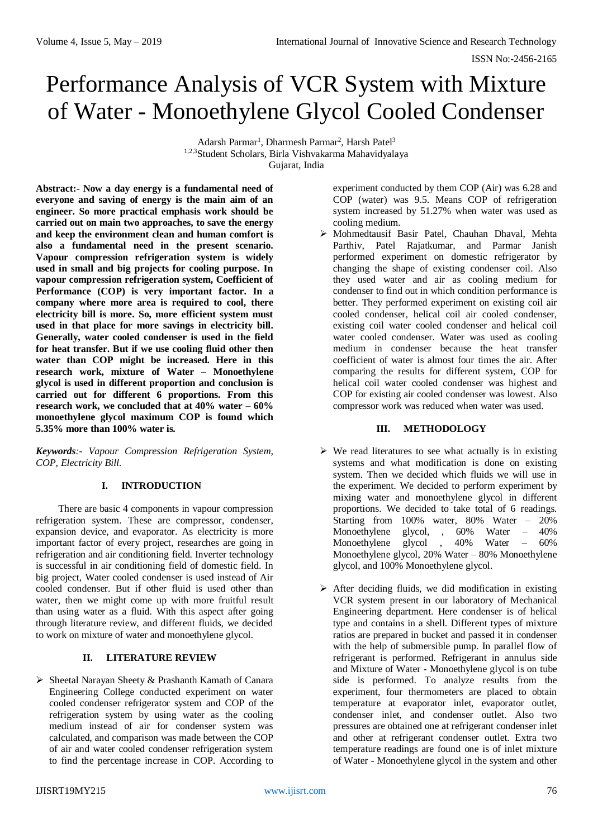ISSN No:-2456-2165

# Performance Analysis of VCR System with Mixture of Water - Monoethylene Glycol Cooled Condenser

Adarsh Parmar<sup>1</sup>, Dharmesh Parmar<sup>2</sup>, Harsh Patel<sup>3</sup> 1,2,3Student Scholars, Birla Vishvakarma Mahavidyalaya Gujarat, India

**Abstract:- Now a day energy is a fundamental need of everyone and saving of energy is the main aim of an engineer. So more practical emphasis work should be carried out on main two approaches, to save the energy and keep the environment clean and human comfort is also a fundamental need in the present scenario. Vapour compression refrigeration system is widely used in small and big projects for cooling purpose. In vapour compression refrigeration system, Coefficient of Performance (COP) is very important factor. In a company where more area is required to cool, there electricity bill is more. So, more efficient system must used in that place for more savings in electricity bill. Generally, water cooled condenser is used in the field for heat transfer. But if we use cooling fluid other then water than COP might be increased. Here in this research work, mixture of Water – Monoethylene glycol is used in different proportion and conclusion is carried out for different 6 proportions. From this research work, we concluded that at 40% water – 60% monoethylene glycol maximum COP is found which 5.35% more than 100% water is.** 

*Keywords:- Vapour Compression Refrigeration System, COP, Electricity Bill.*

# **I. INTRODUCTION**

There are basic 4 components in vapour compression refrigeration system. These are compressor, condenser, expansion device, and evaporator. As electricity is more important factor of every project, researches are going in refrigeration and air conditioning field. Inverter technology is successful in air conditioning field of domestic field. In big project, Water cooled condenser is used instead of Air cooled condenser. But if other fluid is used other than water, then we might come up with more fruitful result than using water as a fluid. With this aspect after going through literature review, and different fluids, we decided to work on mixture of water and monoethylene glycol.

## **II. LITERATURE REVIEW**

 $\triangleright$  Sheetal Narayan Sheety & Prashanth Kamath of Canara Engineering College conducted experiment on water cooled condenser refrigerator system and COP of the refrigeration system by using water as the cooling medium instead of air for condenser system was calculated, and comparison was made between the COP of air and water cooled condenser refrigeration system to find the percentage increase in COP. According to

experiment conducted by them COP (Air) was 6.28 and COP (water) was 9.5. Means COP of refrigeration system increased by 51.27% when water was used as cooling medium.

 Mohmedtausif Basir Patel, Chauhan Dhaval, Mehta Parthiv, Patel Rajatkumar, and Parmar Janish performed experiment on domestic refrigerator by changing the shape of existing condenser coil. Also they used water and air as cooling medium for condenser to find out in which condition performance is better. They performed experiment on existing coil air cooled condenser, helical coil air cooled condenser, existing coil water cooled condenser and helical coil water cooled condenser. Water was used as cooling medium in condenser because the heat transfer coefficient of water is almost four times the air. After comparing the results for different system, COP for helical coil water cooled condenser was highest and COP for existing air cooled condenser was lowest. Also compressor work was reduced when water was used.

## **III. METHODOLOGY**

- $\triangleright$  We read literatures to see what actually is in existing systems and what modification is done on existing system. Then we decided which fluids we will use in the experiment. We decided to perform experiment by mixing water and monoethylene glycol in different proportions. We decided to take total of 6 readings. Starting from 100% water, 80% Water – 20% Monoethylene glycol, , 60% Water – 40% Monoethylene glycol , 40% Water – 60% Monoethylene glycol, 20% Water – 80% Monoethylene glycol, and 100% Monoethylene glycol.
- $\triangleright$  After deciding fluids, we did modification in existing VCR system present in our laboratory of Mechanical Engineering department. Here condenser is of helical type and contains in a shell. Different types of mixture ratios are prepared in bucket and passed it in condenser with the help of submersible pump. In parallel flow of refrigerant is performed. Refrigerant in annulus side and Mixture of Water - Monoethylene glycol is on tube side is performed. To analyze results from the experiment, four thermometers are placed to obtain temperature at evaporator inlet, evaporator outlet, condenser inlet, and condenser outlet. Also two pressures are obtained one at refrigerant condenser inlet and other at refrigerant condenser outlet. Extra two temperature readings are found one is of inlet mixture of Water - Monoethylene glycol in the system and other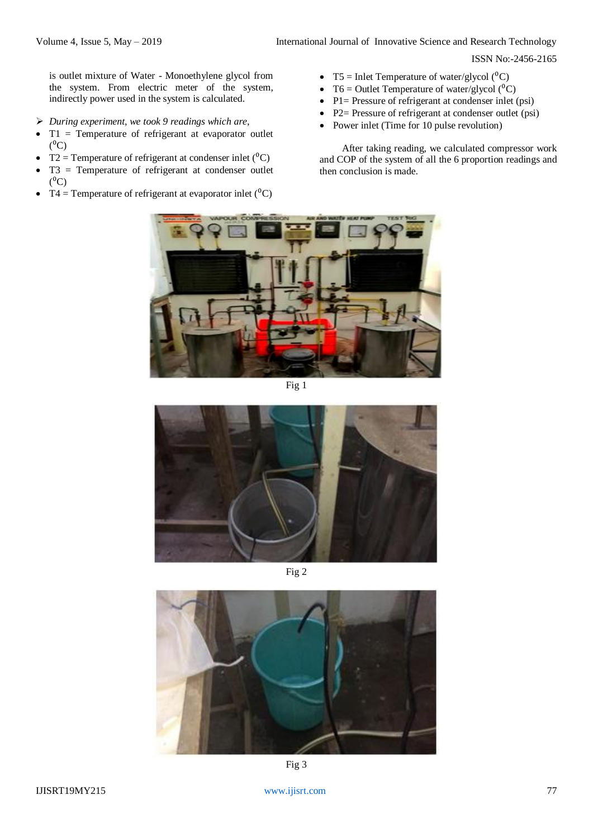ISSN No:-2456-2165

is outlet mixture of Water - Monoethylene glycol from the system. From electric meter of the system, indirectly power used in the system is calculated.

- *During experiment, we took 9 readings which are,*
- $\bullet$  T1 = Temperature of refrigerant at evaporator outlet  $(^0C)$
- T2 = Temperature of refrigerant at condenser inlet  $({}^{0}C)$
- T3 = Temperature of refrigerant at condenser outlet  $(^0C)$
- T4 = Temperature of refrigerant at evaporator inlet  $({}^{0}C)$
- T5 = Inlet Temperature of water/glycol  $({}^{0}C)$
- T6 = Outlet Temperature of water/glycol  $(^0C)$
- P1= Pressure of refrigerant at condenser inlet (psi)
- P2= Pressure of refrigerant at condenser outlet (psi)
- Power inlet (Time for 10 pulse revolution)

After taking reading, we calculated compressor work and COP of the system of all the 6 proportion readings and then conclusion is made.



Fig 1



Fig 2



Fig 3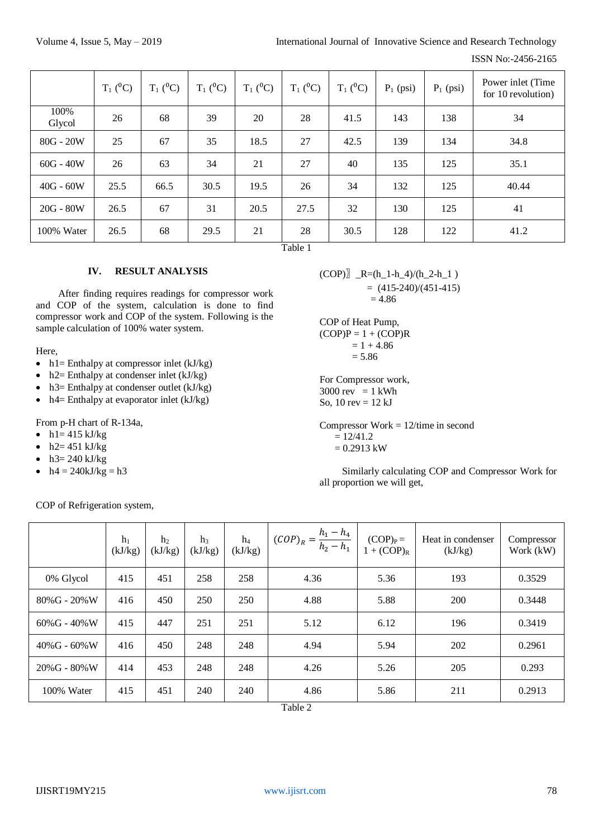ISSN No:-2456-2165

|                | $T_1(^0C)$ | $T_1(^0C)$ | $T_1$ ( <sup>0</sup> C) | $T_1$ ( <sup>0</sup> C) | $T_1(^0C)$ | $T_1(^0C)$ | $P_1$ (psi) | $P_1$ (psi) | Power inlet (Time<br>for 10 revolution) |
|----------------|------------|------------|-------------------------|-------------------------|------------|------------|-------------|-------------|-----------------------------------------|
| 100%<br>Glycol | 26         | 68         | 39                      | 20                      | 28         | 41.5       | 143         | 138         | 34                                      |
| $80G - 20W$    | 25         | 67         | 35                      | 18.5                    | 27         | 42.5       | 139         | 134         | 34.8                                    |
| $60G - 40W$    | 26         | 63         | 34                      | 21                      | 27         | 40         | 135         | 125         | 35.1                                    |
| $40G - 60W$    | 25.5       | 66.5       | 30.5                    | 19.5                    | 26         | 34         | 132         | 125         | 40.44                                   |
| $20G - 80W$    | 26.5       | 67         | 31                      | 20.5                    | 27.5       | 32         | 130         | 125         | 41                                      |
| 100% Water     | 26.5       | 68         | 29.5                    | 21                      | 28<br>---  | 30.5       | 128         | 122         | 41.2                                    |

Table 1

# **IV. RESULT ANALYSIS**

After finding requires readings for compressor work and COP of the system, calculation is done to find compressor work and COP of the system. Following is the sample calculation of 100% water system.

Here,

- $h1$  = Enthalpy at compressor inlet (kJ/kg)
- h<sub>2</sub> Enthalpy at condenser inlet (kJ/kg)
- $h3$  = Enthalpy at condenser outlet (kJ/kg)
- $\bullet$  h4= Enthalpy at evaporator inlet (kJ/kg)

From p-H chart of R-134a,

- $\bullet$  h1= 415 kJ/kg
- $h2 = 451$  kJ/kg
- h3= 240 kJ/kg
- $h4 = 240kJ/kg = h3$

COP of Refrigeration system,

 $(COP)$ ]  $_R=(h_1-h_4)/(h_2-h_1)$  $= (415-240)/(451-415)$  $= 4.86$ 

COP of Heat Pump,  $(COP)P = 1 + (COP)R$  $= 1 + 4.86$  $= 5.86$ 

For Compressor work,  $3000$  rev = 1 kWh So,  $10 \text{ rev} = 12 \text{ kJ}$ 

Compressor Work = 12/time in second  $= 12/41.2$  $= 0.2913$  kW

Similarly calculating COP and Compressor Work for all proportion we will get,

|                     | $h_1$<br>(kJ/kg) | h <sub>2</sub><br>(kJ/kg) | h <sub>3</sub><br>(kJ/kg) | $h_4$<br>(kJ/kg) | $(COP)_{R} = \frac{h_1 - h_4}{h_2 - h_1}$ | $(COP)_{P} =$<br>$1 + (COP)_{R}$ | Heat in condenser<br>(kJ/kg) | Compressor<br>Work (kW) |
|---------------------|------------------|---------------------------|---------------------------|------------------|-------------------------------------------|----------------------------------|------------------------------|-------------------------|
| 0% Glycol           | 415              | 451                       | 258                       | 258              | 4.36                                      | 5.36                             | 193                          | 0.3529                  |
| 80%G - 20%W         | 416              | 450                       | 250                       | 250              | 4.88                                      | 5.88                             | 200                          | 0.3448                  |
| $60\%$ G - 40% W    | 415              | 447                       | 251                       | 251              | 5.12                                      | 6.12                             | 196                          | 0.3419                  |
| $40\%$ G - 60% W    | 416              | 450                       | 248                       | 248              | 4.94                                      | 5.94                             | 202                          | 0.2961                  |
| $20\%$ G - $80\%$ W | 414              | 453                       | 248                       | 248              | 4.26                                      | 5.26                             | 205                          | 0.293                   |
| 100% Water          | 415              | 451                       | 240                       | 240              | 4.86                                      | 5.86                             | 211                          | 0.2913                  |

Table 2